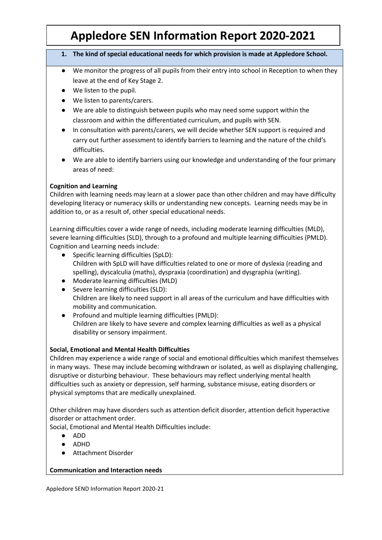# **Appledore SEN Information Report 2020-2021**

#### **1. The kind of special educational needs for which provision is made at Appledore School.**

- We monitor the progress of all pupils from their entry into school in Reception to when they leave at the end of Key Stage 2.
- We listen to the pupil.
- We listen to parents/carers.
- We are able to distinguish between pupils who may need some support within the classroom and within the differentiated curriculum, and pupils with SEN.
- In consultation with parents/carers, we will decide whether SEN support is required and carry out further assessment to identify barriers to learning and the nature of the child's difficulties.
- We are able to identify barriers using our knowledge and understanding of the four primary areas of need:

# **Cognition and Learning**

Children with learning needs may learn at a slower pace than other children and may have difficulty developing literacy or numeracy skills or understanding new concepts. Learning needs may be in addition to, or as a result of, other special educational needs.

Learning difficulties cover a wide range of needs, including moderate learning difficulties (MLD), severe learning difficulties (SLD), through to a profound and multiple learning difficulties (PMLD). Cognition and Learning needs include:

- Specific learning difficulties (SpLD): Children with SpLD will have difficulties related to one or more of dyslexia (reading and spelling), dyscalculia (maths), dyspraxia (coordination) and dysgraphia (writing).
- Moderate learning difficulties (MLD)
- Severe learning difficulties (SLD): Children are likely to need support in all areas of the curriculum and have difficulties with mobility and communication.
- Profound and multiple learning difficulties (PMLD): Children are likely to have severe and complex learning difficulties as well as a physical disability or sensory impairment.

# **Social, Emotional and Mental Health Difficulties**

Children may experience a wide range of social and emotional difficulties which manifest themselves in many ways. These may include becoming withdrawn or isolated, as well as displaying challenging, disruptive or disturbing behaviour. These behaviours may reflect underlying mental health difficulties such as anxiety or depression, self harming, substance misuse, eating disorders or physical symptoms that are medically unexplained.

Other children may have disorders such as attention deficit disorder, attention deficit hyperactive disorder or attachment order.

Social, Emotional and Mental Health Difficulties include:

- ADD
- ADHD
- Attachment Disorder

# **Communication and Interaction needs**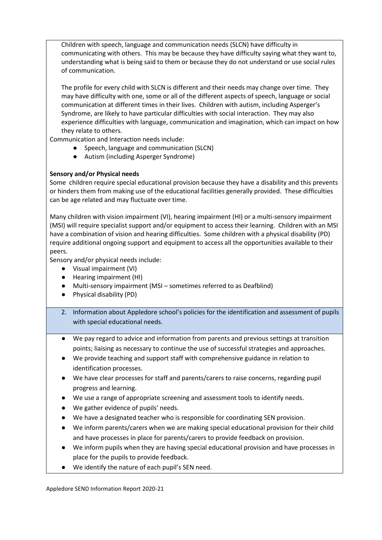Children with speech, language and communication needs (SLCN) have difficulty in communicating with others. This may be because they have difficulty saying what they want to, understanding what is being said to them or because they do not understand or use social rules of communication.

The profile for every child with SLCN is different and their needs may change over time. They may have difficulty with one, some or all of the different aspects of speech, language or social communication at different times in their lives. Children with autism, including Asperger's Syndrome, are likely to have particular difficulties with social interaction. They may also experience difficulties with language, communication and imagination, which can impact on how they relate to others.

Communication and Interaction needs include:

- Speech, language and communication (SLCN)
- Autism (including Asperger Syndrome)

# **Sensory and/or Physical needs**

Some children require special educational provision because they have a disability and this prevents or hinders them from making use of the educational facilities generally provided. These difficulties can be age related and may fluctuate over time.

Many children with vision impairment (VI), hearing impairment (HI) or a multi-sensory impairment (MSI) will require specialist support and/or equipment to access their learning. Children with an MSI have a combination of vision and hearing difficulties. Some children with a physical disability (PD) require additional ongoing support and equipment to access all the opportunities available to their peers.

Sensory and/or physical needs include:

- Visual impairment (VI)
- Hearing impairment (HI)
- Multi-sensory impairment (MSI sometimes referred to as Deafblind)
- Physical disability (PD)
- 2. Information about Appledore school's policies for the identification and assessment of pupils with special educational needs.
- We pay regard to advice and information from parents and previous settings at transition points; liaising as necessary to continue the use of successful strategies and approaches.
- We provide teaching and support staff with comprehensive guidance in relation to identification processes.
- We have clear processes for staff and parents/carers to raise concerns, regarding pupil progress and learning.
- We use a range of appropriate screening and assessment tools to identify needs.
- We gather evidence of pupils' needs.
- We have a designated teacher who is responsible for coordinating SEN provision.
- We inform parents/carers when we are making special educational provision for their child and have processes in place for parents/carers to provide feedback on provision.
- We inform pupils when they are having special educational provision and have processes in place for the pupils to provide feedback.
- We identify the nature of each pupil's SEN need.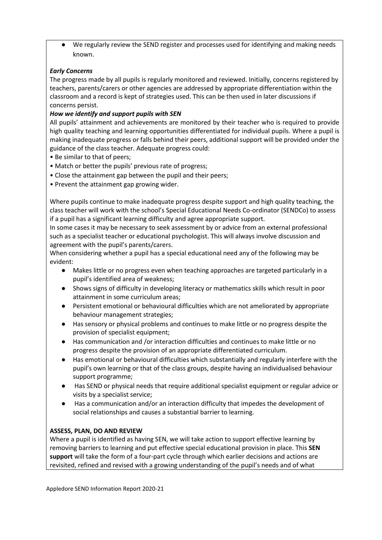We regularly review the SEND register and processes used for identifying and making needs known.

# *Early Concerns*

The progress made by all pupils is regularly monitored and reviewed. Initially, concerns registered by teachers, parents/carers or other agencies are addressed by appropriate differentiation within the classroom and a record is kept of strategies used. This can be then used in later discussions if concerns persist.

#### *How we identify and support pupils with SEN*

All pupils' attainment and achievements are monitored by their teacher who is required to provide high quality teaching and learning opportunities differentiated for individual pupils. Where a pupil is making inadequate progress or falls behind their peers, additional support will be provided under the guidance of the class teacher. Adequate progress could:

- Be similar to that of peers;
- Match or better the pupils' previous rate of progress;
- Close the attainment gap between the pupil and their peers;
- Prevent the attainment gap growing wider.

Where pupils continue to make inadequate progress despite support and high quality teaching, the class teacher will work with the school's Special Educational Needs Co-ordinator (SENDCo) to assess if a pupil has a significant learning difficulty and agree appropriate support.

In some cases it may be necessary to seek assessment by or advice from an external professional such as a specialist teacher or educational psychologist. This will always involve discussion and agreement with the pupil's parents/carers.

When considering whether a pupil has a special educational need any of the following may be evident:

- Makes little or no progress even when teaching approaches are targeted particularly in a pupil's identified area of weakness;
- Shows signs of difficulty in developing literacy or mathematics skills which result in poor attainment in some curriculum areas;
- Persistent emotional or behavioural difficulties which are not ameliorated by appropriate behaviour management strategies;
- Has sensory or physical problems and continues to make little or no progress despite the provision of specialist equipment;
- Has communication and /or interaction difficulties and continues to make little or no progress despite the provision of an appropriate differentiated curriculum.
- Has emotional or behavioural difficulties which substantially and regularly interfere with the pupil's own learning or that of the class groups, despite having an individualised behaviour support programme;
- Has SEND or physical needs that require additional specialist equipment or regular advice or visits by a specialist service;
- Has a communication and/or an interaction difficulty that impedes the development of social relationships and causes a substantial barrier to learning.

#### **ASSESS, PLAN, DO AND REVIEW**

Where a pupil is identified as having SEN, we will take action to support effective learning by removing barriers to learning and put effective special educational provision in place. This **SEN support** will take the form of a four-part cycle through which earlier decisions and actions are revisited, refined and revised with a growing understanding of the pupil's needs and of what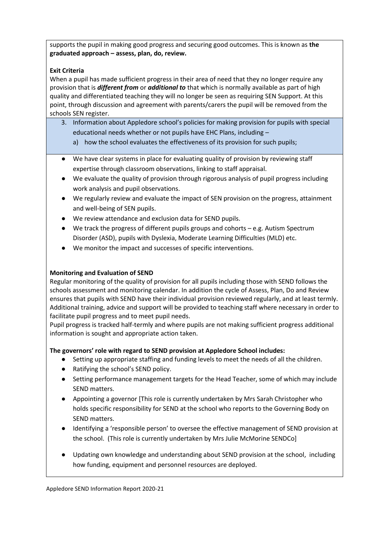supports the pupil in making good progress and securing good outcomes. This is known as **the graduated approach – assess, plan, do, review.** 

# **Exit Criteria**

When a pupil has made sufficient progress in their area of need that they no longer require any provision that is *different from* or *additional to* that which is normally available as part of high quality and differentiated teaching they will no longer be seen as requiring SEN Support. At this point, through discussion and agreement with parents/carers the pupil will be removed from the schools SEN register.

- 3. Information about Appledore school's policies for making provision for pupils with special educational needs whether or not pupils have EHC Plans, including –
	- a) how the school evaluates the effectiveness of its provision for such pupils;
- We have clear systems in place for evaluating quality of provision by reviewing staff expertise through classroom observations, linking to staff appraisal.
- We evaluate the quality of provision through rigorous analysis of pupil progress including work analysis and pupil observations.
- We regularly review and evaluate the impact of SEN provision on the progress, attainment and well-being of SEN pupils.
- We review attendance and exclusion data for SEND pupils.
- $\bullet$  We track the progress of different pupils groups and cohorts e.g. Autism Spectrum Disorder (ASD), pupils with Dyslexia, Moderate Learning Difficulties (MLD) etc.
- We monitor the impact and successes of specific interventions.

# **Monitoring and Evaluation of SEND**

Regular monitoring of the quality of provision for all pupils including those with SEND follows the schools assessment and monitoring calendar. In addition the cycle of Assess, Plan, Do and Review ensures that pupils with SEND have their individual provision reviewed regularly, and at least termly. Additional training, advice and support will be provided to teaching staff where necessary in order to facilitate pupil progress and to meet pupil needs.

Pupil progress is tracked half-termly and where pupils are not making sufficient progress additional information is sought and appropriate action taken.

# **The governors' role with regard to SEND provision at Appledore School includes:**

- Setting up appropriate staffing and funding levels to meet the needs of all the children.
- Ratifying the school's SEND policy.
- Setting performance management targets for the Head Teacher, some of which may include SEND matters.
- Appointing a governor [This role is currently undertaken by Mrs Sarah Christopher who holds specific responsibility for SEND at the school who reports to the Governing Body on SEND matters.
- Identifying a 'responsible person' to oversee the effective management of SEND provision at the school. (This role is currently undertaken by Mrs Julie McMorine SENDCo]
- Updating own knowledge and understanding about SEND provision at the school, including how funding, equipment and personnel resources are deployed.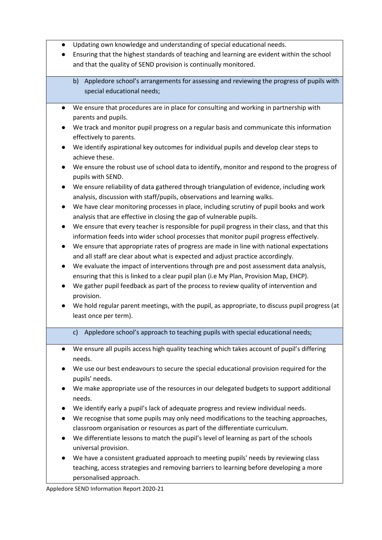- Updating own knowledge and understanding of special educational needs.
- Ensuring that the highest standards of teaching and learning are evident within the school and that the quality of SEND provision is continually monitored.
	- b) Appledore school's arrangements for assessing and reviewing the progress of pupils with special educational needs;
- We ensure that procedures are in place for consulting and working in partnership with parents and pupils.
- We track and monitor pupil progress on a regular basis and communicate this information effectively to parents.
- We identify aspirational key outcomes for individual pupils and develop clear steps to achieve these.
- We ensure the robust use of school data to identify, monitor and respond to the progress of pupils with SEND.
- We ensure reliability of data gathered through triangulation of evidence, including work analysis, discussion with staff/pupils, observations and learning walks.
- We have clear monitoring processes in place, including scrutiny of pupil books and work analysis that are effective in closing the gap of vulnerable pupils.
- We ensure that every teacher is responsible for pupil progress in their class, and that this information feeds into wider school processes that monitor pupil progress effectively.
- We ensure that appropriate rates of progress are made in line with national expectations and all staff are clear about what is expected and adjust practice accordingly.
- We evaluate the impact of interventions through pre and post assessment data analysis, ensuring that this is linked to a clear pupil plan (i.e My Plan, Provision Map, EHCP).
- We gather pupil feedback as part of the process to review quality of intervention and provision.
- We hold regular parent meetings, with the pupil, as appropriate, to discuss pupil progress (at least once per term).
	- c) Appledore school's approach to teaching pupils with special educational needs;
- We ensure all pupils access high quality teaching which takes account of pupil's differing needs.
- We use our best endeavours to secure the special educational provision required for the pupils' needs.
- We make appropriate use of the resources in our delegated budgets to support additional needs.
- We identify early a pupil's lack of adequate progress and review individual needs.
- We recognise that some pupils may only need modifications to the teaching approaches, classroom organisation or resources as part of the differentiate curriculum.
- We differentiate lessons to match the pupil's level of learning as part of the schools universal provision.
- We have a consistent graduated approach to meeting pupils' needs by reviewing class teaching, access strategies and removing barriers to learning before developing a more personalised approach.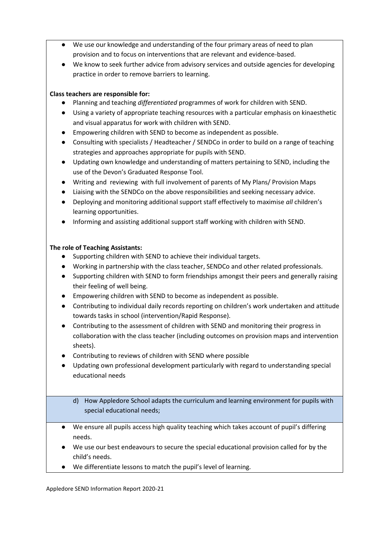- We use our knowledge and understanding of the four primary areas of need to plan provision and to focus on interventions that are relevant and evidence-based.
- We know to seek further advice from advisory services and outside agencies for developing practice in order to remove barriers to learning.

# **Class teachers are responsible for:**

- Planning and teaching *differentiated* programmes of work for children with SEND.
- Using a variety of appropriate teaching resources with a particular emphasis on kinaesthetic and visual apparatus for work with children with SEND.
- Empowering children with SEND to become as independent as possible.
- Consulting with specialists / Headteacher / SENDCo in order to build on a range of teaching strategies and approaches appropriate for pupils with SEND.
- Updating own knowledge and understanding of matters pertaining to SEND, including the use of the Devon's Graduated Response Tool.
- Writing and reviewing with full involvement of parents of My Plans/ Provision Maps
- Liaising with the SENDCo on the above responsibilities and seeking necessary advice.
- Deploying and monitoring additional support staff effectively to maximise *all* children's learning opportunities.
- Informing and assisting additional support staff working with children with SEND.

# **The role of Teaching Assistants:**

- Supporting children with SEND to achieve their individual targets.
- Working in partnership with the class teacher, SENDCo and other related professionals.
- Supporting children with SEND to form friendships amongst their peers and generally raising their feeling of well being.
- Empowering children with SEND to become as independent as possible.
- Contributing to individual daily records reporting on children's work undertaken and attitude towards tasks in school (intervention/Rapid Response).
- Contributing to the assessment of children with SEND and monitoring their progress in collaboration with the class teacher (including outcomes on provision maps and intervention sheets).
- Contributing to reviews of children with SEND where possible
- Updating own professional development particularly with regard to understanding special educational needs
	- d) How Appledore School adapts the curriculum and learning environment for pupils with special educational needs;
- We ensure all pupils access high quality teaching which takes account of pupil's differing needs.
- We use our best endeavours to secure the special educational provision called for by the child's needs.
- We differentiate lessons to match the pupil's level of learning.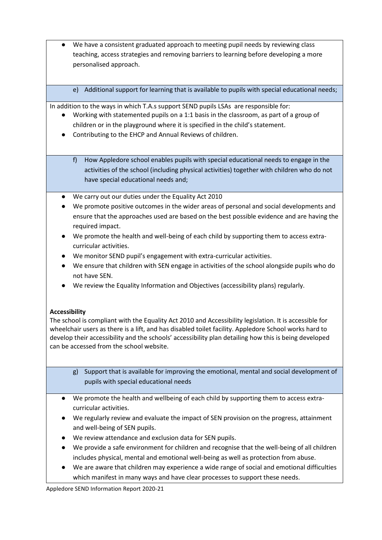- We have a consistent graduated approach to meeting pupil needs by reviewing class teaching, access strategies and removing barriers to learning before developing a more personalised approach.
	- e) Additional support for learning that is available to pupils with special educational needs;

In addition to the ways in which T.A.s support SEND pupils LSAs are responsible for:

- Working with statemented pupils on a 1:1 basis in the classroom, as part of a group of children or in the playground where it is specified in the child's statement.
- Contributing to the EHCP and Annual Reviews of children.
	- f) How Appledore school enables pupils with special educational needs to engage in the activities of the school (including physical activities) together with children who do not have special educational needs and;
- We carry out our duties under the Equality Act 2010
- We promote positive outcomes in the wider areas of personal and social developments and ensure that the approaches used are based on the best possible evidence and are having the required impact.
- We promote the health and well-being of each child by supporting them to access extracurricular activities.
- We monitor SEND pupil's engagement with extra-curricular activities.
- We ensure that children with SEN engage in activities of the school alongside pupils who do not have SEN.
- We review the Equality Information and Objectives (accessibility plans) regularly.

# **Accessibility**

The school is compliant with the Equality Act 2010 and Accessibility legislation. It is accessible for wheelchair users as there is a lift, and has disabled toilet facility. Appledore School works hard to develop their accessibility and the schools' accessibility plan detailing how this is being developed can be accessed from the school website.

- g) Support that is available for improving the emotional, mental and social development of pupils with special educational needs
- We promote the health and wellbeing of each child by supporting them to access extracurricular activities.
- We regularly review and evaluate the impact of SEN provision on the progress, attainment and well-being of SEN pupils.
- We review attendance and exclusion data for SEN pupils.
- We provide a safe environment for children and recognise that the well-being of all children includes physical, mental and emotional well-being as well as protection from abuse.
- We are aware that children may experience a wide range of social and emotional difficulties which manifest in many ways and have clear processes to support these needs.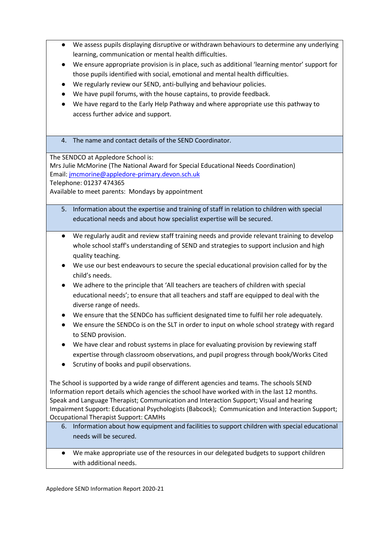- We assess pupils displaying disruptive or withdrawn behaviours to determine any underlying learning, communication or mental health difficulties.
- We ensure appropriate provision is in place, such as additional 'learning mentor' support for those pupils identified with social, emotional and mental health difficulties.
- We regularly review our SEND, anti-bullying and behaviour policies.
- We have pupil forums, with the house captains, to provide feedback.
- We have regard to the Early Help Pathway and where appropriate use this pathway to access further advice and support.
- 4. The name and contact details of the SEND Coordinator.

The SENDCO at Appledore School is:

Mrs Julie McMorine (The National Award for Special Educational Needs Coordination) Email[: jmcmorine@appledore-primary.devon.sch.uk](mailto:jmcmorine@appledore-primary.devon.sch.uk)

Telephone: 01237 474365

Available to meet parents: Mondays by appointment

- 5. Information about the expertise and training of staff in relation to children with special educational needs and about how specialist expertise will be secured.
- We regularly audit and review staff training needs and provide relevant training to develop whole school staff's understanding of SEND and strategies to support inclusion and high quality teaching.
- We use our best endeavours to secure the special educational provision called for by the child's needs.
- We adhere to the principle that 'All teachers are teachers of children with special educational needs'; to ensure that all teachers and staff are equipped to deal with the diverse range of needs.
- We ensure that the SENDCo has sufficient designated time to fulfil her role adequately.
- We ensure the SENDCo is on the SLT in order to input on whole school strategy with regard to SEND provision.
- We have clear and robust systems in place for evaluating provision by reviewing staff expertise through classroom observations, and pupil progress through book/Works Cited
- Scrutiny of books and pupil observations.

The School is supported by a wide range of different agencies and teams. The schools SEND Information report details which agencies the school have worked with in the last 12 months. Speak and Language Therapist; Communication and Interaction Support; Visual and hearing Impairment Support: Educational Psychologists (Babcock); Communication and Interaction Support; Occupational Therapist Support: CAMHs

- 6. Information about how equipment and facilities to support children with special educational needs will be secured.
- We make appropriate use of the resources in our delegated budgets to support children with additional needs.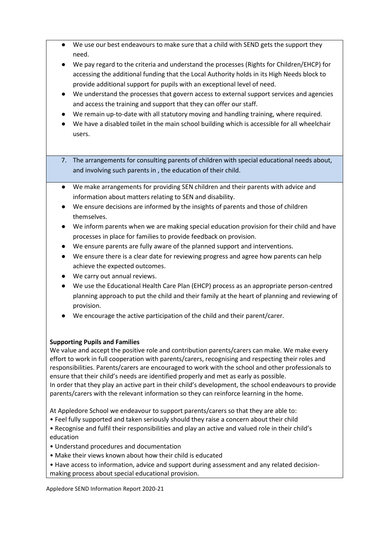- We use our best endeavours to make sure that a child with SEND gets the support they need.
- We pay regard to the criteria and understand the processes (Rights for Children/EHCP) for accessing the additional funding that the Local Authority holds in its High Needs block to provide additional support for pupils with an exceptional level of need.
- We understand the processes that govern access to external support services and agencies and access the training and support that they can offer our staff.
- We remain up-to-date with all statutory moving and handling training, where required.
- We have a disabled toilet in the main school building which is accessible for all wheelchair users.
- 7. The arrangements for consulting parents of children with special educational needs about, and involving such parents in , the education of their child.
- We make arrangements for providing SEN children and their parents with advice and information about matters relating to SEN and disability.
- We ensure decisions are informed by the insights of parents and those of children themselves.
- We inform parents when we are making special education provision for their child and have processes in place for families to provide feedback on provision.
- We ensure parents are fully aware of the planned support and interventions.
- We ensure there is a clear date for reviewing progress and agree how parents can help achieve the expected outcomes.
- We carry out annual reviews.
- We use the Educational Health Care Plan (EHCP) process as an appropriate person-centred planning approach to put the child and their family at the heart of planning and reviewing of provision.
- We encourage the active participation of the child and their parent/carer.

# **Supporting Pupils and Families**

We value and accept the positive role and contribution parents/carers can make. We make every effort to work in full cooperation with parents/carers, recognising and respecting their roles and responsibilities. Parents/carers are encouraged to work with the school and other professionals to ensure that their child's needs are identified properly and met as early as possible. In order that they play an active part in their child's development, the school endeavours to provide parents/carers with the relevant information so they can reinforce learning in the home.

At Appledore School we endeavour to support parents/carers so that they are able to:

• Feel fully supported and taken seriously should they raise a concern about their child

• Recognise and fulfil their responsibilities and play an active and valued role in their child's education

- Understand procedures and documentation
- Make their views known about how their child is educated
- Have access to information, advice and support during assessment and any related decisionmaking process about special educational provision.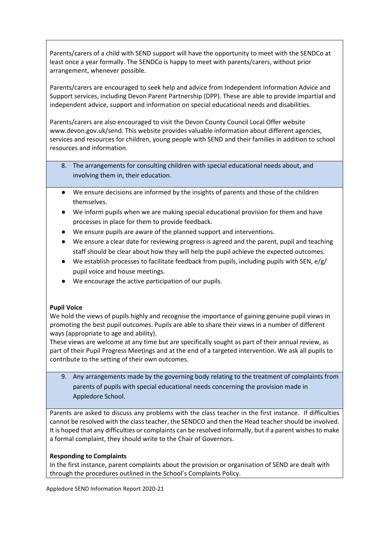Parents/carers of a child with SEND support will have the opportunity to meet with the SENDCo at least once a year formally. The SENDCo is happy to meet with parents/carers, without prior arrangement, whenever possible.

Parents/carers are encouraged to seek help and advice from Independent Information Advice and Support services, including Devon Parent Partnership (DPP). These are able to provide impartial and independent advice, support and information on special educational needs and disabilities.

Parents/carers are also encouraged to visit the Devon County Council Local Offer website www.devon.gov.uk/send. This website provides valuable information about different agencies, services and resources for children, young people with SEND and their families in addition to school resources and information.

- 8. The arrangements for consulting children with special educational needs about, and involving them in, their education.
- We ensure decisions are informed by the insights of parents and those of the children themselves.
- We inform pupils when we are making special educational provision for them and have processes in place for them to provide feedback.
- We ensure pupils are aware of the planned support and interventions.
- We ensure a clear date for reviewing progress is agreed and the parent, pupil and teaching staff should be clear about how they will help the pupil achieve the expected outcomes.
- $\bullet$  We establish processes to facilitate feedback from pupils, including pupils with SEN, e/g/ pupil voice and house meetings.
- We encourage the active participation of our pupils.

# **Pupil Voice**

We hold the views of pupils highly and recognise the importance of gaining genuine pupil views in promoting the best pupil outcomes. Pupils are able to share their views in a number of different ways (appropriate to age and ability).

These views are welcome at any time but are specifically sought as part of their annual review, as part of their Pupil Progress Meetings and at the end of a targeted intervention. We ask all pupils to contribute to the setting of their own outcomes.

9. Any arrangements made by the governing body relating to the treatment of complaints from parents of pupils with special educational needs concerning the provision made in Appledore School.

Parents are asked to discuss any problems with the class teacher in the first instance. If difficulties cannot be resolved with the class teacher, the SENDCO and then the Head teacher should be involved. It is hoped that any difficulties or complaints can be resolved informally, but if a parent wishes to make a formal complaint, they should write to the Chair of Governors.

# **Responding to Complaints**

In the first instance, parent complaints about the provision or organisation of SEND are dealt with through the procedures outlined in the School's Complaints Policy.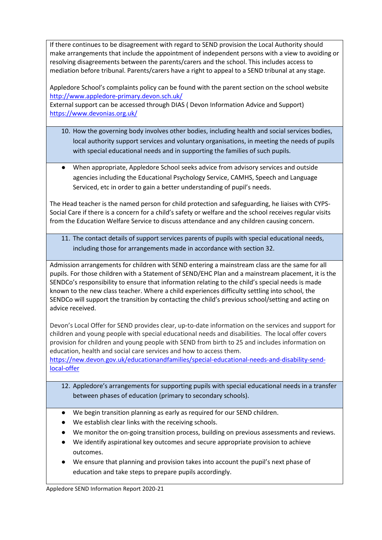If there continues to be disagreement with regard to SEND provision the Local Authority should make arrangements that include the appointment of independent persons with a view to avoiding or resolving disagreements between the parents/carers and the school. This includes access to mediation before tribunal. Parents/carers have a right to appeal to a SEND tribunal at any stage.

Appledore School's complaints policy can be found with the parent section on the school website <http://www.appledore-primary.devon.sch.uk/>

External support can be accessed through DIAS ( Devon Information Advice and Support) <https://www.devonias.org.uk/>

- 10. How the governing body involves other bodies, including health and social services bodies, local authority support services and voluntary organisations, in meeting the needs of pupils with special educational needs and in supporting the families of such pupils.
- When appropriate, Appledore School seeks advice from advisory services and outside agencies including the Educational Psychology Service, CAMHS, Speech and Language Serviced, etc in order to gain a better understanding of pupil's needs.

The Head teacher is the named person for child protection and safeguarding, he liaises with CYPS-Social Care if there is a concern for a child's safety or welfare and the school receives regular visits from the Education Welfare Service to discuss attendance and any children causing concern.

11. The contact details of support services parents of pupils with special educational needs, including those for arrangements made in accordance with section 32.

Admission arrangements for children with SEND entering a mainstream class are the same for all pupils. For those children with a Statement of SEND/EHC Plan and a mainstream placement, it is the SENDCo's responsibility to ensure that information relating to the child's special needs is made known to the new class teacher. Where a child experiences difficulty settling into school, the SENDCo will support the transition by contacting the child's previous school/setting and acting on advice received.

Devon's Local Offer for SEND provides clear, up-to-date information on the services and support for children and young people with special educational needs and disabilities. The local offer covers provision for children and young people with SEND from birth to 25 and includes information on education, health and social care services and how to access them.

[https://new.devon.gov.uk/educationandfamilies/special-educational-needs-and-disability-send](https://new.devon.gov.uk/educationandfamilies/special-educational-needs-and-disability-send-local-offer)[local-offer](https://new.devon.gov.uk/educationandfamilies/special-educational-needs-and-disability-send-local-offer)

- 12. Appledore's arrangements for supporting pupils with special educational needs in a transfer between phases of education (primary to secondary schools).
- We begin transition planning as early as required for our SEND children.
- We establish clear links with the receiving schools.
- We monitor the on-going transition process, building on previous assessments and reviews.
- We identify aspirational key outcomes and secure appropriate provision to achieve outcomes.
- We ensure that planning and provision takes into account the pupil's next phase of education and take steps to prepare pupils accordingly.